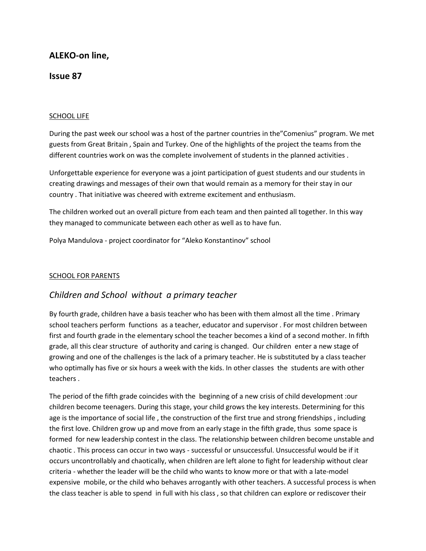# **ALEKO-on line,**

## **Issue 87**

### SCHOOL LIFE

During the past week our school was a host of the partner countries in the"Comenius" program. We met guests from Great Britain , Spain and Turkey. One of the highlights of the project the teams from the different countries work on was the complete involvement of students in the planned activities .

Unforgettable experience for everyone was a joint participation of guest students and our students in creating drawings and messages of their own that would remain as a memory for their stay in our country . That initiative was cheered with extreme excitement and enthusiasm.

The children worked out an overall picture from each team and then painted all together. In this way they managed to communicate between each other as well as to have fun.

Polya Mandulova - project coordinator for "Aleko Konstantinov" school

### SCHOOL FOR PARENTS

## *Children and School without a primary teacher*

By fourth grade, children have a basis teacher who has been with them almost all the time . Primary school teachers perform functions as a teacher, educator and supervisor . For most children between first and fourth grade in the elementary school the teacher becomes a kind of a second mother. In fifth grade, all this clear structure of authority and caring is changed. Our children enter a new stage of growing and one of the challenges is the lack of a primary teacher. He is substituted by a class teacher who optimally has five or six hours a week with the kids. In other classes the students are with other teachers .

The period of the fifth grade coincides with the beginning of a new crisis of child development :our children become teenagers. During this stage, your child grows the key interests. Determining for this age is the importance of social life , the construction of the first true and strong friendships , including the first love. Children grow up and move from an early stage in the fifth grade, thus some space is formed for new leadership contest in the class. The relationship between children become unstable and chaotic . This process can occur in two ways - successful or unsuccessful. Unsuccessful would be if it occurs uncontrollably and chaotically, when children are left alone to fight for leadership without clear criteria - whether the leader will be the child who wants to know more or that with a late-model expensive mobile, or the child who behaves arrogantly with other teachers. A successful process is when the class teacher is able to spend in full with his class , so that children can explore or rediscover their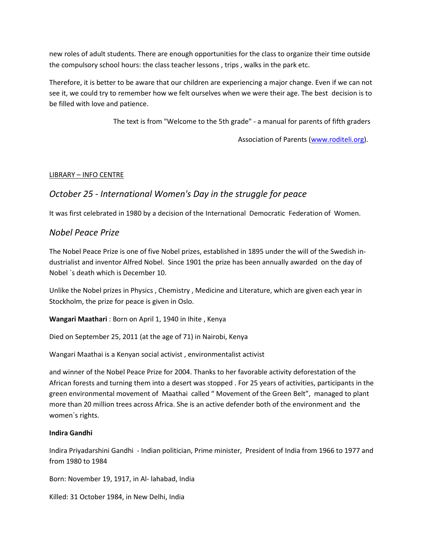new roles of adult students. There are enough opportunities for the class to organize their time outside the compulsory school hours: the class teacher lessons , trips , walks in the park etc.

Therefore, it is better to be aware that our children are experiencing a major change. Even if we can not see it, we could try to remember how we felt ourselves when we were their age. The best decision is to be filled with love and patience.

The text is from "Welcome to the 5th grade" - a manual for parents of fifth graders

Association of Parents [\(www.roditeli.org\)](http://www.roditeli.org/).

## LIBRARY – INFO CENTRE

# *October 25 - International Women's Day in the struggle for peace*

It was first celebrated in 1980 by a decision of the International Democratic Federation of Women.

# *Nobel Peace Prize*

The Nobel Peace Prize is one of five Nobel prizes, established in 1895 under the will of the Swedish industrialist and inventor Alfred Nobel. Since 1901 the prize has been annually awarded on the day of Nobel `s death which is December 10.

Unlike the Nobel prizes in Physics , Chemistry , Medicine and Literature, which are given each year in Stockholm, the prize for peace is given in Oslo.

**Wangari Maathari** : Born on April 1, 1940 in Ihite , Kenya

Died on September 25, 2011 (at the age of 71) in Nairobi, Kenya

Wangari Maathai is a Kenyan social activist , environmentalist activist

and winner of the Nobel Peace Prize for 2004. Thanks to her favorable activity deforestation of the African forests and turning them into a desert was stopped . For 25 years of activities, participants in the green environmental movement of Maathai called " Movement of the Green Belt", managed to plant more than 20 million trees across Africa. She is an active defender both of the environment and the women`s rights.

## **Indira Gandhi**

Indira Priyadarshini Gandhi - Indian politician, Prime minister, President of India from 1966 to 1977 and from 1980 to 1984

Born: November 19, 1917, in Al- lahabad, India

Killed: 31 October 1984, in New Delhi, India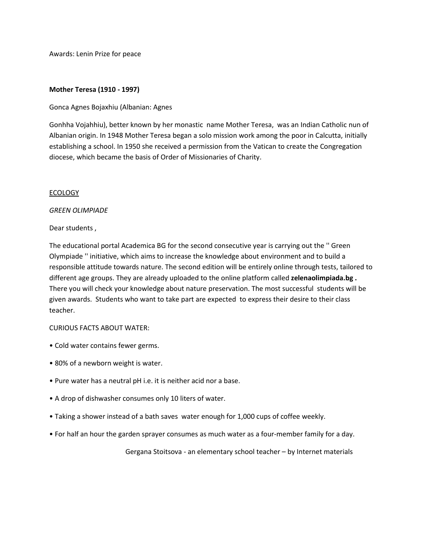Awards: Lenin Prize for peace

### **Mother Teresa (1910 - 1997)**

Gonca Agnes Bojaxhiu (Albanian: Agnes

Gonhha Vojahhiu), better known by her monastic name Mother Teresa, was an Indian Catholic nun of Albanian origin. In 1948 Mother Teresa began a solo mission work among the poor in Calcutta, initially establishing a school. In 1950 she received a permission from the Vatican to create the Congregation diocese, which became the basis of Order of Missionaries of Charity.

### ECOLOGY

### *GREEN OLIMPIADE*

Dear students ,

The educational portal Academica BG for the second consecutive year is carrying out the '' Green Olympiade '' initiative, which aims to increase the knowledge about environment and to build a responsible attitude towards nature. The second edition will be entirely online through tests, tailored to different age groups. They are already uploaded to the online platform called **zelenaolimpiada.bg .** There you will check your knowledge about nature preservation. The most successful students will be given awards. Students who want to take part are expected to express their desire to their class teacher.

#### CURIOUS FACTS ABOUT WATER:

- Cold water contains fewer germs.
- 80% of a newborn weight is water.
- Pure water has a neutral pH i.e. it is neither acid nor a base.
- A drop of dishwasher consumes only 10 liters of water.
- Taking a shower instead of a bath saves water enough for 1,000 cups of coffee weekly.
- For half an hour the garden sprayer consumes as much water as a four-member family for a day.

Gergana Stoitsova - an elementary school teacher – by Internet materials